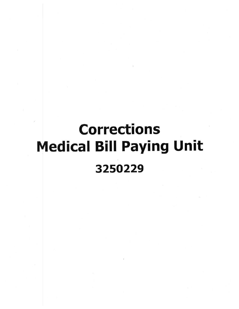# Corrections Medical Bill Paying Unit 3250229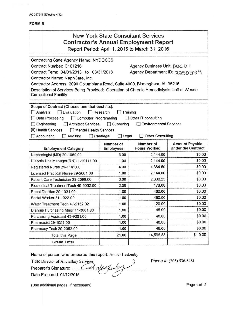| New York State Consultant Services<br><b>Contractor's Annual Employment Report</b><br>Report Period: April 1, 2015 to March 31, 2016                                                                                                                                                                                                                                                                                                                       |                               |                                  |                                                    |
|------------------------------------------------------------------------------------------------------------------------------------------------------------------------------------------------------------------------------------------------------------------------------------------------------------------------------------------------------------------------------------------------------------------------------------------------------------|-------------------------------|----------------------------------|----------------------------------------------------|
| Contracting State Agency Name: NYDOCCS<br>Contract Number: C161216<br>Agency Business Unit: DDC O I<br>Contract Term: 04/01/2013 to 03/31/2018<br>Agency Department ID: 3250234<br>Contractor Name: NaphCare, Inc.<br>Contractor Address: 2090 Columbiana Road, Suite 4000, Birmingham, AL 35216<br>Description of Services Being Provided: Operation of Chronic Hemodialysis Unit at Wende<br><b>Correcitonal Facility</b>                                |                               |                                  |                                                    |
| Scope of Contract (Choose one that best fits):<br>$\Box$ Evaluation<br>$\Box$ Analysis<br>$\Box$ Research<br>Training<br>□ Computer Programming<br>Data Processing<br>Other IT consulting<br>Architect Services<br>$\Box$ Surveying<br><b>Environmental Services</b><br>$\Box$ Engineering<br>$\boxtimes$ Health Services<br>$\Box$ Mental Health Services<br>Other Consulting<br>$\Box$ Legal<br>$\Box$ Accounting<br>$\Box$ Auditing<br>$\Box$ Paralegal |                               |                                  |                                                    |
| <b>Employment Category</b>                                                                                                                                                                                                                                                                                                                                                                                                                                 | Number of<br><b>Employees</b> | Number of<br><b>Hours Worked</b> | <b>Amount Payable</b><br><b>Under the Contract</b> |
| Nephrologist (MD) 29-1069.00                                                                                                                                                                                                                                                                                                                                                                                                                               | 3.00                          | 2,144.00                         | \$0.00                                             |
| Dialysis Unit Manager(RN)11-19111.00                                                                                                                                                                                                                                                                                                                                                                                                                       | 1.00                          | 2,144.00                         | \$0.00                                             |
| Registered Nurse 29-1141.00                                                                                                                                                                                                                                                                                                                                                                                                                                | 4.00                          | 4,384.50                         | \$0.00                                             |
| Licensed Practical Nurse 29-2061.00                                                                                                                                                                                                                                                                                                                                                                                                                        | 1.00                          | 2,144.00                         | \$0.00                                             |
| Patient Care Technician 29-2099.00                                                                                                                                                                                                                                                                                                                                                                                                                         | 3.00                          | 2,330.25                         | \$0.00                                             |
| Biomedical TreatmentTech 49-9062.00                                                                                                                                                                                                                                                                                                                                                                                                                        | 2.00                          | 178.08                           | \$0.00                                             |
| Renal Dietitian 29-1031.00                                                                                                                                                                                                                                                                                                                                                                                                                                 | 1.00                          | 480.00                           | \$0.00                                             |
| Social Worker 21-1022.00                                                                                                                                                                                                                                                                                                                                                                                                                                   | 1.00                          | 480.00                           | \$0.00                                             |
| Water Treatment Tech 47-2152.02                                                                                                                                                                                                                                                                                                                                                                                                                            | 1.00                          | 120.00                           | \$0.00                                             |
| Dialysis Purchasing Mngr 11-3061.00                                                                                                                                                                                                                                                                                                                                                                                                                        | 1.00                          | 48.00                            | \$0.00                                             |
| Purchasing Assistant 43-9061.00                                                                                                                                                                                                                                                                                                                                                                                                                            | 1.00                          | 48.00                            | \$0.00                                             |
| Pharmacist 29-1051.00                                                                                                                                                                                                                                                                                                                                                                                                                                      | 1.00                          | 48.00                            | \$0.00                                             |
| Pharmacy Tech 29-2052.00                                                                                                                                                                                                                                                                                                                                                                                                                                   | 1.00                          | 48.00                            | \$0.00                                             |
| <b>Total this Page</b>                                                                                                                                                                                                                                                                                                                                                                                                                                     | 21.00                         | 14,596.83                        | 0.00<br>\$                                         |
| <b>Grand Total</b>                                                                                                                                                                                                                                                                                                                                                                                                                                         |                               |                                  |                                                    |

Name of person who prepared this report: Amber Leckenby

Title: Director of Anciallary Services

Phone #: (205) 536-8481

Preparer's Signature: \_~::::::::.::~t:!]~:::;Z~~:;:\_::::\_ \_

Date Prepared: 04/I *2/20 16*

(Use additional pages, if necessary) example 2 and the extended page 1 of 2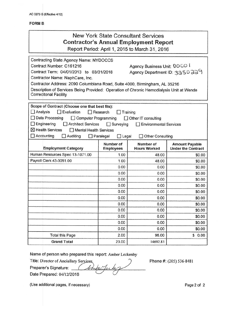| Contracting State Agency Name: NYDOCCS<br>Agency Business Unit: 00CO I<br>Contract Number: C161216<br>Agency Department ID: 3350 224<br>Contract Term: 04/01/2013 to 03/31/2018<br>Contractor Name: NaphCare, Inc.<br>Contractor Address: 2090 Columbiana Road, Suite 4000, Birmingham, AL 35216<br>Description of Services Being Provided: Operation of Chronic Hemodialysis Unit at Wende<br><b>Correcitonal Facility</b><br>Scope of Contract (Choose one that best fits):<br>$\Box$ Analysis<br>$\Box$ Evaluation<br>Research<br>Training<br>$\Box$ Data Processing<br>□ Computer Programming<br>$\Box$ Other IT consulting<br>$\Box$ Engineering<br>Architect Services<br>$\Box$ Surveying<br><b>Environmental Services</b><br>$\boxtimes$ Health Services<br>Mental Health Services<br>$\Box$ Accounting<br>$\Box$ Auditing<br>$\Box$ Legal<br>$\Box$ Paralegal<br>Other Consulting<br>Number of<br>Number of<br><b>Amount Payable</b><br><b>Employment Category</b><br><b>Under the Contract</b><br><b>Hours Worked</b><br><b>Employees</b><br>Human Resources Spec 13-1071.00<br>1.00<br>48.00<br>\$0.00<br>Payroll Clerk 43-3051.00<br>1.00<br>48.00<br>\$0.00<br>0.00<br>0.00<br>\$0.00<br>0.00<br>0.00<br>\$0.00<br>0.00<br>0.00<br>\$0.00<br>0.00<br>0.00<br>\$0.00<br>0.00<br>0.00<br>\$0.00<br>0.00<br>0.00<br>\$0.00<br>0.00<br>0.00<br>\$0.00<br>0.00<br>0.00<br>\$0.00<br>0.00<br>0.00<br>\$0.00<br>0.00<br>0.00<br>\$0.00<br>0.00<br>0.00<br>\$0.00<br>2.00<br>96.00<br>\$<br>0.00<br><b>Total this Page</b> | <b>New York State Consultant Services</b><br><b>Contractor's Annual Employment Report</b><br>Report Period: April 1, 2015 to March 31, 2016 |  |  |  |
|--------------------------------------------------------------------------------------------------------------------------------------------------------------------------------------------------------------------------------------------------------------------------------------------------------------------------------------------------------------------------------------------------------------------------------------------------------------------------------------------------------------------------------------------------------------------------------------------------------------------------------------------------------------------------------------------------------------------------------------------------------------------------------------------------------------------------------------------------------------------------------------------------------------------------------------------------------------------------------------------------------------------------------------------------------------------------------------------------------------------------------------------------------------------------------------------------------------------------------------------------------------------------------------------------------------------------------------------------------------------------------------------------------------------------------------------------------------------------------------------------------------------------------|---------------------------------------------------------------------------------------------------------------------------------------------|--|--|--|
|                                                                                                                                                                                                                                                                                                                                                                                                                                                                                                                                                                                                                                                                                                                                                                                                                                                                                                                                                                                                                                                                                                                                                                                                                                                                                                                                                                                                                                                                                                                                |                                                                                                                                             |  |  |  |
|                                                                                                                                                                                                                                                                                                                                                                                                                                                                                                                                                                                                                                                                                                                                                                                                                                                                                                                                                                                                                                                                                                                                                                                                                                                                                                                                                                                                                                                                                                                                |                                                                                                                                             |  |  |  |
|                                                                                                                                                                                                                                                                                                                                                                                                                                                                                                                                                                                                                                                                                                                                                                                                                                                                                                                                                                                                                                                                                                                                                                                                                                                                                                                                                                                                                                                                                                                                |                                                                                                                                             |  |  |  |
|                                                                                                                                                                                                                                                                                                                                                                                                                                                                                                                                                                                                                                                                                                                                                                                                                                                                                                                                                                                                                                                                                                                                                                                                                                                                                                                                                                                                                                                                                                                                |                                                                                                                                             |  |  |  |
|                                                                                                                                                                                                                                                                                                                                                                                                                                                                                                                                                                                                                                                                                                                                                                                                                                                                                                                                                                                                                                                                                                                                                                                                                                                                                                                                                                                                                                                                                                                                |                                                                                                                                             |  |  |  |
|                                                                                                                                                                                                                                                                                                                                                                                                                                                                                                                                                                                                                                                                                                                                                                                                                                                                                                                                                                                                                                                                                                                                                                                                                                                                                                                                                                                                                                                                                                                                |                                                                                                                                             |  |  |  |
|                                                                                                                                                                                                                                                                                                                                                                                                                                                                                                                                                                                                                                                                                                                                                                                                                                                                                                                                                                                                                                                                                                                                                                                                                                                                                                                                                                                                                                                                                                                                |                                                                                                                                             |  |  |  |
|                                                                                                                                                                                                                                                                                                                                                                                                                                                                                                                                                                                                                                                                                                                                                                                                                                                                                                                                                                                                                                                                                                                                                                                                                                                                                                                                                                                                                                                                                                                                |                                                                                                                                             |  |  |  |
|                                                                                                                                                                                                                                                                                                                                                                                                                                                                                                                                                                                                                                                                                                                                                                                                                                                                                                                                                                                                                                                                                                                                                                                                                                                                                                                                                                                                                                                                                                                                |                                                                                                                                             |  |  |  |
|                                                                                                                                                                                                                                                                                                                                                                                                                                                                                                                                                                                                                                                                                                                                                                                                                                                                                                                                                                                                                                                                                                                                                                                                                                                                                                                                                                                                                                                                                                                                |                                                                                                                                             |  |  |  |
|                                                                                                                                                                                                                                                                                                                                                                                                                                                                                                                                                                                                                                                                                                                                                                                                                                                                                                                                                                                                                                                                                                                                                                                                                                                                                                                                                                                                                                                                                                                                |                                                                                                                                             |  |  |  |
|                                                                                                                                                                                                                                                                                                                                                                                                                                                                                                                                                                                                                                                                                                                                                                                                                                                                                                                                                                                                                                                                                                                                                                                                                                                                                                                                                                                                                                                                                                                                |                                                                                                                                             |  |  |  |
|                                                                                                                                                                                                                                                                                                                                                                                                                                                                                                                                                                                                                                                                                                                                                                                                                                                                                                                                                                                                                                                                                                                                                                                                                                                                                                                                                                                                                                                                                                                                |                                                                                                                                             |  |  |  |
|                                                                                                                                                                                                                                                                                                                                                                                                                                                                                                                                                                                                                                                                                                                                                                                                                                                                                                                                                                                                                                                                                                                                                                                                                                                                                                                                                                                                                                                                                                                                |                                                                                                                                             |  |  |  |
|                                                                                                                                                                                                                                                                                                                                                                                                                                                                                                                                                                                                                                                                                                                                                                                                                                                                                                                                                                                                                                                                                                                                                                                                                                                                                                                                                                                                                                                                                                                                |                                                                                                                                             |  |  |  |
|                                                                                                                                                                                                                                                                                                                                                                                                                                                                                                                                                                                                                                                                                                                                                                                                                                                                                                                                                                                                                                                                                                                                                                                                                                                                                                                                                                                                                                                                                                                                |                                                                                                                                             |  |  |  |
| 23.00<br>14692.83<br><b>Grand Total</b>                                                                                                                                                                                                                                                                                                                                                                                                                                                                                                                                                                                                                                                                                                                                                                                                                                                                                                                                                                                                                                                                                                                                                                                                                                                                                                                                                                                                                                                                                        |                                                                                                                                             |  |  |  |

Name of person who prepared this report: Amber Leckenby

 $\mathcal{L}_{1}$ 

Title: Director of Anciallary Services Preparer's Signature: \[ \]

Phone #: (205) 536-8481

(Use additional pages, if necessary) example 2 of 2

Date Prepared: *04/12/2016 .*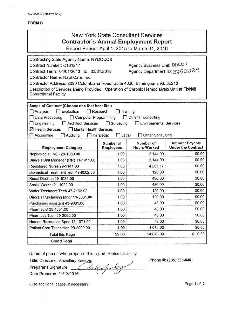| <b>New York State Consultant Services</b><br><b>Contractor's Annual Employment Report</b><br>Report Period: April 1, 2015 to March 31, 2016                                                                                                                                                                                                                                                                                                    |                               |                                                               |                                                    |
|------------------------------------------------------------------------------------------------------------------------------------------------------------------------------------------------------------------------------------------------------------------------------------------------------------------------------------------------------------------------------------------------------------------------------------------------|-------------------------------|---------------------------------------------------------------|----------------------------------------------------|
| <b>Contracting State Agency Name: NYDOCCS</b><br>Contract Number: C161217<br>Contract Term: 04/01/2013 to 03/31/2018<br>Contractor Name: NaphCare, Inc.<br>Contractor Address: 2090 Columbiana Road, Suite 4000, Birmingham, AL 35216<br>Description of Services Being Provided: Operation of Chronic Hemodialysis Unit at Fishkill<br><b>Correcitonal Facility</b>                                                                            |                               | Agency Business Unit: DOCO I<br>Agency Department ID: 3350239 |                                                    |
| Scope of Contract (Choose one that best fits):<br>$\Box$ Evaluation<br>$\Box$ Analysis<br>$\Box$ Research<br>Training<br>Data Processing<br>Other IT consulting<br>Computer Programming<br>$\Box$ Engineering<br>Architect Services<br>$\Box$ Surveying<br><b>Environmental Services</b><br><b>X</b> Health Services<br>Mental Health Services<br>$\Box$ Accounting<br>$\Box$ Auditing<br>$\Box$ Legal<br>Other Consulting<br>$\Box$ Paralegal |                               |                                                               |                                                    |
| <b>Employment Category</b>                                                                                                                                                                                                                                                                                                                                                                                                                     | Number of<br><b>Employees</b> | Number of<br><b>Hours Worked</b>                              | <b>Amount Payable</b><br><b>Under the Contract</b> |
| Nephrologist (MD) 29-1069.00                                                                                                                                                                                                                                                                                                                                                                                                                   | 1.00                          | 2,144.00                                                      | \$0.00                                             |
| Dialysis Unit Manager (RN) 11-1911.00                                                                                                                                                                                                                                                                                                                                                                                                          | 1.00                          | 2,144.00                                                      | \$0.00                                             |
| Registered Nurse 29-1141.00                                                                                                                                                                                                                                                                                                                                                                                                                    | 7.00                          | 4,201.17                                                      | \$0.00                                             |
| Biomedical TreatmentTech 49-9062.00                                                                                                                                                                                                                                                                                                                                                                                                            | 1.00                          | 120.00                                                        | \$0.00                                             |
| Renal Dietitian 29-1031.00                                                                                                                                                                                                                                                                                                                                                                                                                     |                               |                                                               |                                                    |
|                                                                                                                                                                                                                                                                                                                                                                                                                                                | 1.00                          | 480.00                                                        | \$0.00                                             |
|                                                                                                                                                                                                                                                                                                                                                                                                                                                | 1.00                          | 480.00                                                        | \$0.00                                             |
| Social Worker 21-1022.00<br>Water Treatment Tech 47-2152.02                                                                                                                                                                                                                                                                                                                                                                                    | 1.00                          | 120.00                                                        | \$0.00                                             |
| Dialysis Purchasing Mngr 11-3061.00                                                                                                                                                                                                                                                                                                                                                                                                            | 1.00                          | 120.00                                                        | \$0.00                                             |
| Purchasing assistant 43-9061.00                                                                                                                                                                                                                                                                                                                                                                                                                | 1.00                          | 48.00                                                         | \$0.00                                             |
| Pharmacist 29-1051.00                                                                                                                                                                                                                                                                                                                                                                                                                          | 1.00                          | 48.00                                                         | \$0.00                                             |
| Pharmacy Tech 29-2052.00                                                                                                                                                                                                                                                                                                                                                                                                                       | 1.00                          | 48.00                                                         | \$0.00                                             |
| Human Resources Spec 13-1071.00                                                                                                                                                                                                                                                                                                                                                                                                                | 1.00                          | 48.00                                                         | \$0.00                                             |
| Patient Care Technician 29-2099.00                                                                                                                                                                                                                                                                                                                                                                                                             | 4.00                          | 4,074.92                                                      | \$0.00                                             |
| <b>Total this Page</b>                                                                                                                                                                                                                                                                                                                                                                                                                         | 22.00                         | 14,076.09                                                     | \$0.00                                             |

Name of person who prepared this report: Amber Leckenby

Title: Director of Anciallary Services

Preparer's Signature: *\_\_/\_\_/* Date Prepared: *04112/2016 (\_ Z/*

Phone #: (205) 536-8481

(Use additional pages, if necessary) example 2 and 2 and 2 and 2 and 2 and 2 and 2 and 2 and 2 and 2 and 2 and 2 and 2 and 2 and 2 and 2 and 2 and 2 and 2 and 2 and 2 and 2 and 2 and 2 and 2 and 2 and 2 and 2 and 2 and 2 a